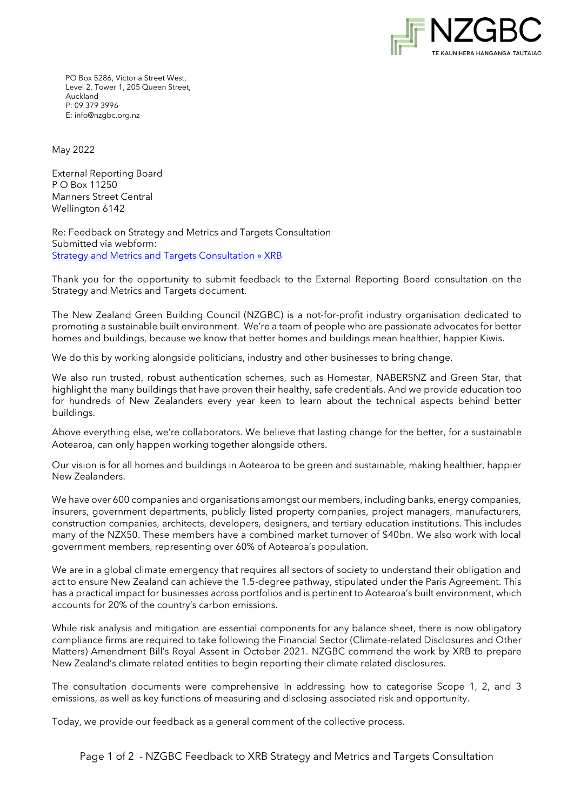

PO Box 5286, Victoria Street West, Level 2, Tower 1, 205 Queen Street, Auckland P: 09 379 3996 E[: info@nzgbc.org.nz](mailto:info@nzgbc.org.nz)

May 2022

External Reporting Board P O Box 11250 Manners Street Central Wellington 6142

Re: Feedback on Strategy and Metrics and Targets Consultation Submitted via webform: [Strategy and Metrics and Targets Consultation » XRB](https://www.xrb.govt.nz/standards/climate-related-disclosures/strategy-and-metrics-and-targets-consultation-document/)

Thank you for the opportunity to submit feedback to the External Reporting Board consultation on the Strategy and Metrics and Targets document.

The New Zealand Green Building Council (NZGBC) is a not-for-profit industry organisation dedicated to promoting a sustainable built environment. We're a team of people who are passionate advocates for better homes and buildings, because we know that better homes and buildings mean healthier, happier Kiwis.

We do this by working alongside politicians, industry and other businesses to bring change.

We also run trusted, robust authentication schemes, such as Homestar, NABERSNZ and Green Star, that highlight the many buildings that have proven their healthy, safe credentials. And we provide education too for hundreds of New Zealanders every year keen to learn about the technical aspects behind better buildings.

Above everything else, we're collaborators. We believe that lasting change for the better, for a sustainable Aotearoa, can only happen working together alongside others.

Our vision is for all homes and buildings in Aotearoa to be green and sustainable, making healthier, happier New Zealanders.

We have over 600 companies and organisations amongst our members, including banks, energy companies, insurers, government departments, publicly listed property companies, project managers, manufacturers, construction companies, architects, developers, designers, and tertiary education institutions. This includes many of the NZX50. These members have a combined market turnover of \$40bn. We also work with local government members, representing over 60% of Aotearoa's population.

We are in a global climate emergency that requires all sectors of society to understand their obligation and act to ensure New Zealand can achieve the 1.5-degree pathway, stipulated under the Paris Agreement. This has a practical impact for businesses across portfolios and is pertinent to Aotearoa's built environment, which accounts for 20% of the country's carbon emissions.

While risk analysis and mitigation are essential components for any balance sheet, there is now obligatory compliance firms are required to take following the Financial Sector (Climate-related Disclosures and Other Matters) Amendment Bill's Royal Assent in October 2021. NZGBC commend the work by XRB to prepare New Zealand's climate related entities to begin reporting their climate related disclosures.

The consultation documents were comprehensive in addressing how to categorise Scope 1, 2, and 3 emissions, as well as key functions of measuring and disclosing associated risk and opportunity.

Today, we provide our feedback as a general comment of the collective process.